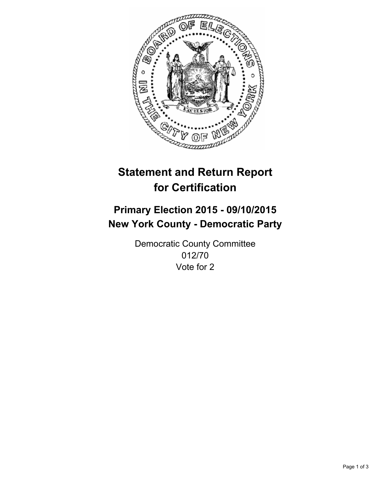

# **Statement and Return Report for Certification**

## **Primary Election 2015 - 09/10/2015 New York County - Democratic Party**

Democratic County Committee 012/70 Vote for 2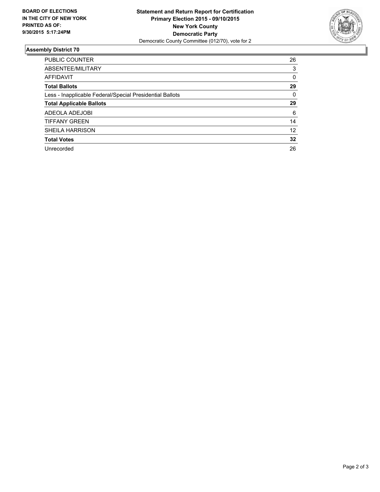

#### **Assembly District 70**

| <b>PUBLIC COUNTER</b>                                    | 26 |
|----------------------------------------------------------|----|
| ABSENTEE/MILITARY                                        | 3  |
| AFFIDAVIT                                                | 0  |
| <b>Total Ballots</b>                                     | 29 |
| Less - Inapplicable Federal/Special Presidential Ballots | 0  |
| <b>Total Applicable Ballots</b>                          | 29 |
| ADEOLA ADEJOBI                                           | 6  |
| <b>TIFFANY GREEN</b>                                     | 14 |
| <b>SHEILA HARRISON</b>                                   | 12 |
| <b>Total Votes</b>                                       | 32 |
| Unrecorded                                               | 26 |